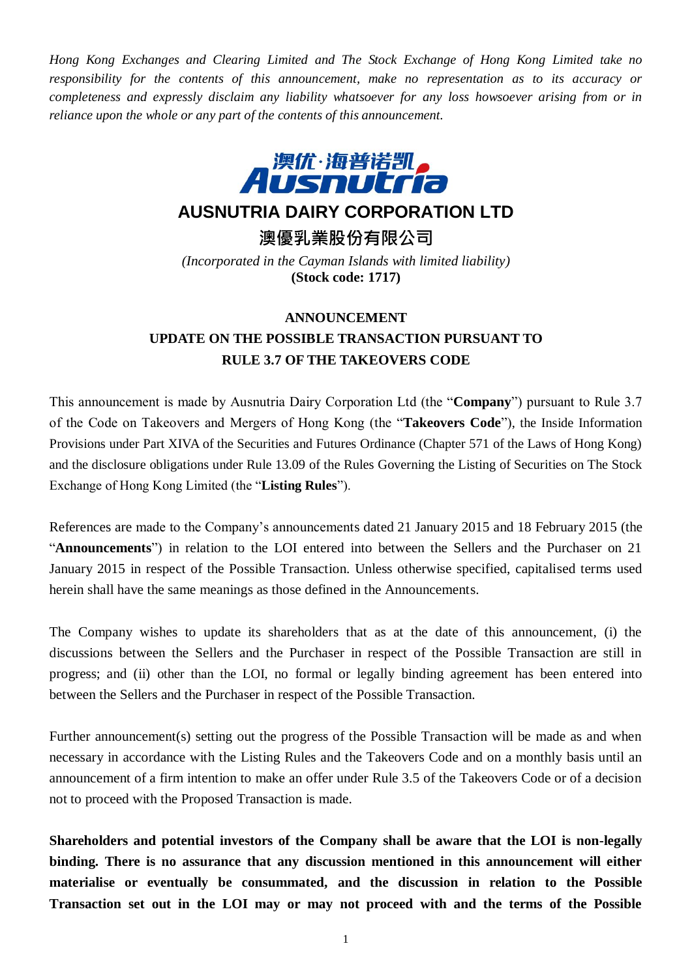*Hong Kong Exchanges and Clearing Limited and The Stock Exchange of Hong Kong Limited take no responsibility for the contents of this announcement, make no representation as to its accuracy or completeness and expressly disclaim any liability whatsoever for any loss howsoever arising from or in reliance upon the whole or any part of the contents of this announcement.*



## **AUSNUTRIA DAIRY CORPORATION LTD**

**澳優乳業股份有限公司**

*(Incorporated in the Cayman Islands with limited liability)* **(Stock code: 1717)**

## **ANNOUNCEMENT UPDATE ON THE POSSIBLE TRANSACTION PURSUANT TO RULE 3.7 OF THE TAKEOVERS CODE**

This announcement is made by Ausnutria Dairy Corporation Ltd (the "**Company**") pursuant to Rule 3.7 of the Code on Takeovers and Mergers of Hong Kong (the "**Takeovers Code**"), the Inside Information Provisions under Part XIVA of the Securities and Futures Ordinance (Chapter 571 of the Laws of Hong Kong) and the disclosure obligations under Rule 13.09 of the Rules Governing the Listing of Securities on The Stock Exchange of Hong Kong Limited (the "**Listing Rules**").

References are made to the Company's announcements dated 21 January 2015 and 18 February 2015 (the "**Announcements**") in relation to the LOI entered into between the Sellers and the Purchaser on 21 January 2015 in respect of the Possible Transaction. Unless otherwise specified, capitalised terms used herein shall have the same meanings as those defined in the Announcements.

The Company wishes to update its shareholders that as at the date of this announcement, (i) the discussions between the Sellers and the Purchaser in respect of the Possible Transaction are still in progress; and (ii) other than the LOI, no formal or legally binding agreement has been entered into between the Sellers and the Purchaser in respect of the Possible Transaction.

Further announcement(s) setting out the progress of the Possible Transaction will be made as and when necessary in accordance with the Listing Rules and the Takeovers Code and on a monthly basis until an announcement of a firm intention to make an offer under Rule 3.5 of the Takeovers Code or of a decision not to proceed with the Proposed Transaction is made.

**Shareholders and potential investors of the Company shall be aware that the LOI is non-legally binding. There is no assurance that any discussion mentioned in this announcement will either materialise or eventually be consummated, and the discussion in relation to the Possible Transaction set out in the LOI may or may not proceed with and the terms of the Possible**